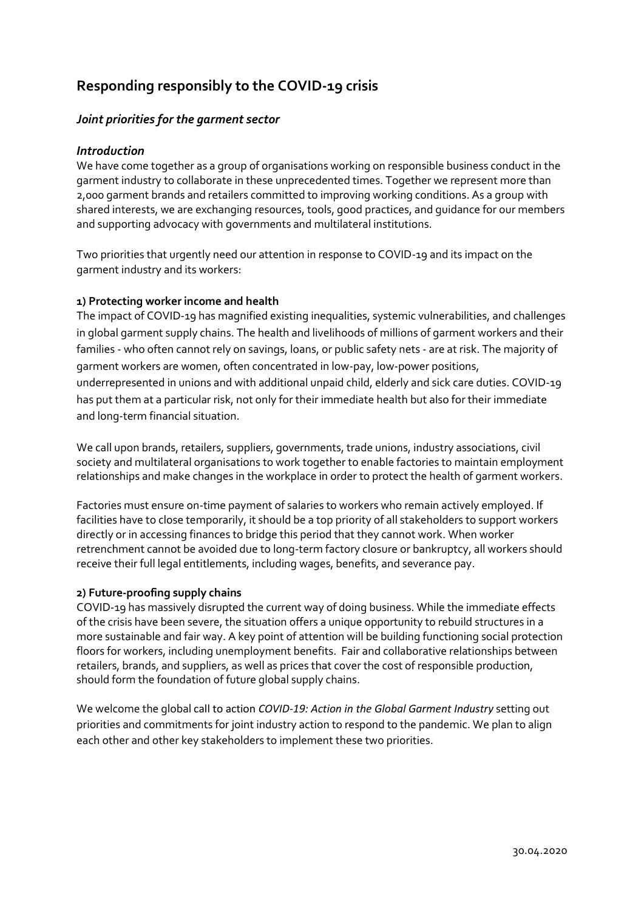# **Responding responsibly to the COVID-19 crisis**

## *Joint priorities for the garment sector*

#### *Introduction*

We have come together as a group of organisations working on responsible business conduct in the garment industry to collaborate in these unprecedented times. Together we represent more than 2,000 garment brands and retailers committed to improving working conditions. As a group with shared interests, we are exchanging resources, tools, good practices, and guidance for our members and supporting advocacy with governments and multilateral institutions.

Two priorities that urgently need our attention in response to COVID-19 and its impact on the garment industry and its workers:

#### **1) Protecting worker income and health**

The impact of COVID-19 has magnified existing inequalities, systemic vulnerabilities, and challenges in global garment supply chains. The health and livelihoods of millions of garment workers and their families - who often cannot rely on savings, loans, or public safety nets - are at risk. The majority of garment workers are women, often concentrated in low-pay, low-power positions, underrepresented in unions and with additional unpaid child, elderly and sick care duties. COVID-19 has put them at a particular risk, not only for their immediate health but also for their immediate and long-term financial situation.

We call upon brands, retailers, suppliers, governments, trade unions, industry associations, civil society and multilateral organisations to work together to enable factories to maintain employment relationships and make changes in the workplace in order to protect the health of garment workers.

Factories must ensure on-time payment of salaries to workers who remain actively employed. If facilities have to close temporarily, it should be a top priority of all stakeholders to support workers directly or in accessing finances to bridge this period that they cannot work. When worker retrenchment cannot be avoided due to long-term factory closure or bankruptcy, all workers should receive their full legal entitlements, including wages, benefits, and severance pay.

#### **2) Future-proofing supply chains**

COVID-19 has massively disrupted the current way of doing business. While the immediate effects of the crisis have been severe, the situation offers a unique opportunity to rebuild structures in a more sustainable and fair way. A key point of attention will be building functioning social protection floors for workers, including unemployment benefits. Fair and collaborative relationships between retailers, brands, and suppliers, as well as prices that cover the cost of responsible production, should form the foundation of future global supply chains.

We welcome the global call to action *COVID-19: Action in the Global Garment Industry* setting out priorities and commitments for joint industry action to respond to the pandemic. We plan to align each other and other key stakeholders to implement these two priorities.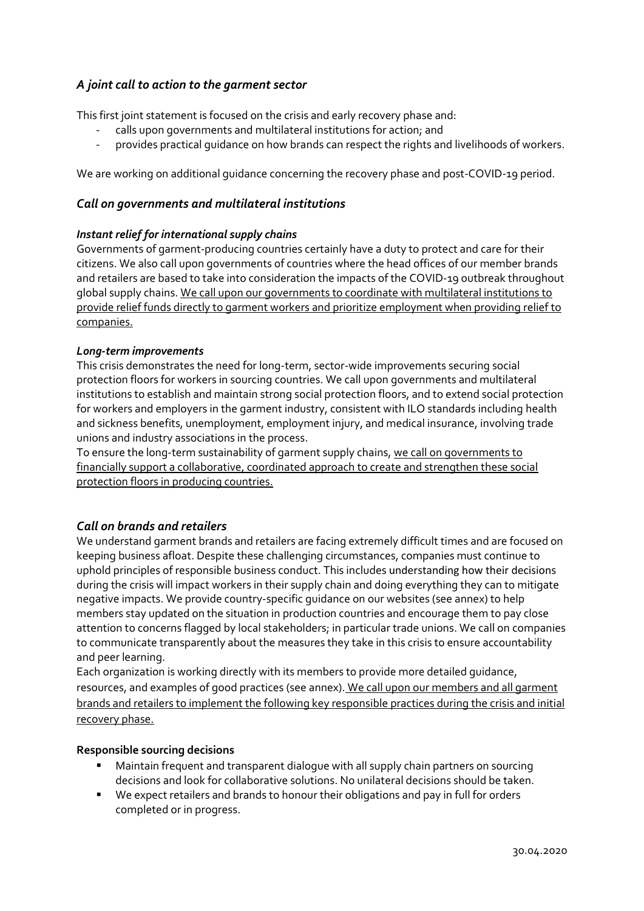# *A joint call to action to the garment sector*

This first joint statement is focused on the crisis and early recovery phase and:

- calls upon governments and multilateral institutions for action; and
- provides practical guidance on how brands can respect the rights and livelihoods of workers.

We are working on additional guidance concerning the recovery phase and post-COVID-19 period.

#### *Call on governments and multilateral institutions*

#### *Instant relief for international supply chains*

Governments of garment-producing countries certainly have a duty to protect and care for their citizens. We also call upon governments of countries where the head offices of our member brands and retailers are based to take into consideration the impacts of the COVID-19 outbreak throughout global supply chains. We call upon our governments to coordinate with multilateral institutions to provide relief funds directly to garment workers and prioritize employment when providing relief to companies.

#### *Long-term improvements*

This crisis demonstrates the need for long-term, sector-wide improvements securing social protection floors for workers in sourcing countries. We call upon governments and multilateral institutions to establish and maintain strong social protection floors, and to extend social protection for workers and employers in the garment industry, consistent with ILO standards including health and sickness benefits, unemployment, employment injury, and medical insurance, involving trade unions and industry associations in the process.

To ensure the long-term sustainability of garment supply chains, we call on governments to financially support a collaborative, coordinated approach to create and strengthen these social protection floors in producing countries.

#### *Call on brands and retailers*

We understand garment brands and retailers are facing extremely difficult times and are focused on keeping business afloat. Despite these challenging circumstances, companies must continue to uphold principles of responsible business conduct. This includes understanding how their decisions during the crisis will impact workers in their supply chain and doing everything they can to mitigate negative impacts. We provide country-specific guidance on our websites (see annex) to help members stay updated on the situation in production countries and encourage them to pay close attention to concerns flagged by local stakeholders; in particular trade unions. We call on companies to communicate transparently about the measures they take in this crisis to ensure accountability and peer learning.

Each organization is working directly with its members to provide more detailed guidance, resources, and examples of good practices (see annex). We call upon our members and all garment brands and retailers to implement the following key responsible practices during the crisis and initial recovery phase.

#### **Responsible sourcing decisions**

- Maintain frequent and transparent dialogue with all supply chain partners on sourcing decisions and look for collaborative solutions. No unilateral decisions should be taken.
- We expect retailers and brands to honour their obligations and pay in full for orders completed or in progress.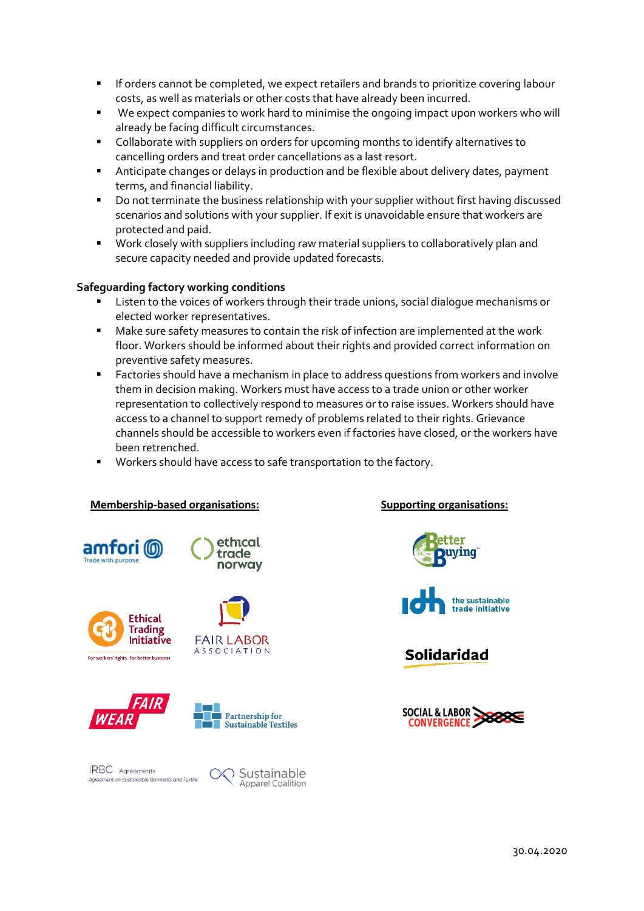- **EXP** If orders cannot be completed, we expect retailers and brands to prioritize covering labour costs, as well as materials or other costs that have already been incurred.
- We expect companies to work hard to minimise the ongoing impact upon workers who will already be facing difficult circumstances.
- Collaborate with suppliers on orders for upcoming months to identify alternatives to cancelling orders and treat order cancellations as a last resort.
- Anticipate changes or delays in production and be flexible about delivery dates, payment terms, and financial liability.
- Do not terminate the business relationship with your supplier without first having discussed scenarios and solutions with your supplier. If exit is unavoidable ensure that workers are protected and paid.
- Work closely with suppliers including raw material suppliers to collaboratively plan and secure capacity needed and provide updated forecasts.

### **Safeguarding factory working conditions**

- Listen to the voices of workers through their trade unions, social dialogue mechanisms or elected worker representatives.
- Make sure safety measures to contain the risk of infection are implemented at the work floor. Workers should be informed about their rights and provided correct information on preventive safety measures.
- Factories should have a mechanism in place to address questions from workers and involve them in decision making. Workers must have access to a trade union or other worker representation to collectively respond to measures or to raise issues. Workers should have access to a channel to support remedy of problems related to their rights. Grievance channels should be accessible to workers even if factories have closed, or the workers have been retrenched.
- Workers should have access to safe transportation to the factory.

#### **Membership-based organisations: Supporting organisations:**





**FAIR LABOR** 

**ASSOCIATION** 









Partnership for

**Sustainable Textiles**